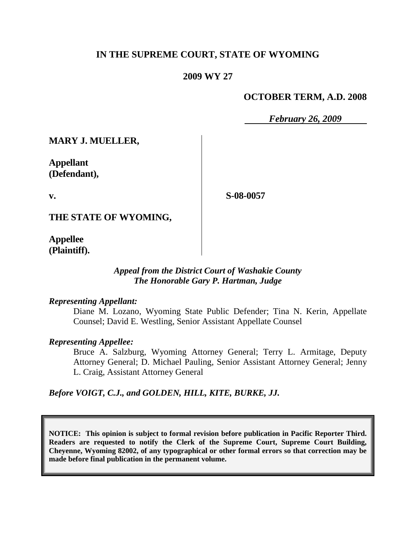# **IN THE SUPREME COURT, STATE OF WYOMING**

# **2009 WY 27**

# **OCTOBER TERM, A.D. 2008**

*February 26, 2009*

**MARY J. MUELLER,**

**Appellant (Defendant),**

**v.**

**S-08-0057**

**THE STATE OF WYOMING,**

**Appellee (Plaintiff).**

#### *Appeal from the District Court of Washakie County The Honorable Gary P. Hartman, Judge*

#### *Representing Appellant:*

Diane M. Lozano, Wyoming State Public Defender; Tina N. Kerin, Appellate Counsel; David E. Westling, Senior Assistant Appellate Counsel

#### *Representing Appellee:*

Bruce A. Salzburg, Wyoming Attorney General; Terry L. Armitage, Deputy Attorney General; D. Michael Pauling, Senior Assistant Attorney General; Jenny L. Craig, Assistant Attorney General

*Before VOIGT, C.J., and GOLDEN, HILL, KITE, BURKE, JJ.*

**NOTICE: This opinion is subject to formal revision before publication in Pacific Reporter Third. Readers are requested to notify the Clerk of the Supreme Court, Supreme Court Building, Cheyenne, Wyoming 82002, of any typographical or other formal errors so that correction may be made before final publication in the permanent volume.**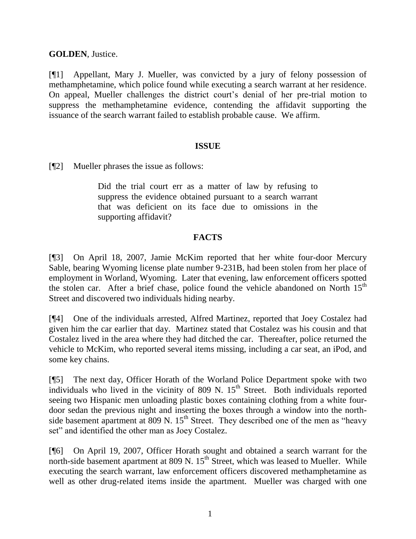**GOLDEN**, Justice.

[¶1] Appellant, Mary J. Mueller, was convicted by a jury of felony possession of methamphetamine, which police found while executing a search warrant at her residence. On appeal, Mueller challenges the district court's denial of her pre-trial motion to suppress the methamphetamine evidence, contending the affidavit supporting the issuance of the search warrant failed to establish probable cause. We affirm.

## **ISSUE**

[¶2] Mueller phrases the issue as follows:

Did the trial court err as a matter of law by refusing to suppress the evidence obtained pursuant to a search warrant that was deficient on its face due to omissions in the supporting affidavit?

# **FACTS**

[¶3] On April 18, 2007, Jamie McKim reported that her white four-door Mercury Sable, bearing Wyoming license plate number 9-231B, had been stolen from her place of employment in Worland, Wyoming. Later that evening, law enforcement officers spotted the stolen car. After a brief chase, police found the vehicle abandoned on North 15<sup>th</sup> Street and discovered two individuals hiding nearby.

[¶4] One of the individuals arrested, Alfred Martinez, reported that Joey Costalez had given him the car earlier that day. Martinez stated that Costalez was his cousin and that Costalez lived in the area where they had ditched the car. Thereafter, police returned the vehicle to McKim, who reported several items missing, including a car seat, an iPod, and some key chains.

[¶5] The next day, Officer Horath of the Worland Police Department spoke with two individuals who lived in the vicinity of 809 N.  $15<sup>th</sup>$  Street. Both individuals reported seeing two Hispanic men unloading plastic boxes containing clothing from a white fourdoor sedan the previous night and inserting the boxes through a window into the northside basement apartment at  $809$  N.  $15<sup>th</sup>$  Street. They described one of the men as "heavy set" and identified the other man as Joey Costalez.

[¶6] On April 19, 2007, Officer Horath sought and obtained a search warrant for the north-side basement apartment at  $809 \text{ N}$ .  $15^{\text{th}}$  Street, which was leased to Mueller. While executing the search warrant, law enforcement officers discovered methamphetamine as well as other drug-related items inside the apartment. Mueller was charged with one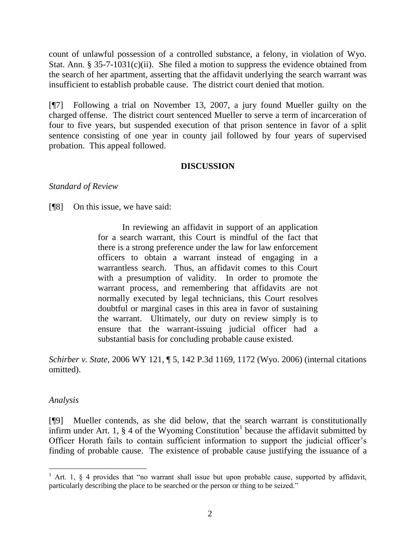count of unlawful possession of a controlled substance, a felony, in violation of Wyo. Stat. Ann. § 35-7-1031(c)(ii). She filed a motion to suppress the evidence obtained from the search of her apartment, asserting that the affidavit underlying the search warrant was insufficient to establish probable cause. The district court denied that motion.

[¶7] Following a trial on November 13, 2007, a jury found Mueller guilty on the charged offense. The district court sentenced Mueller to serve a term of incarceration of four to five years, but suspended execution of that prison sentence in favor of a split sentence consisting of one year in county jail followed by four years of supervised probation. This appeal followed.

## **DISCUSSION**

## *Standard of Review*

[¶8] On this issue, we have said:

In reviewing an affidavit in support of an application for a search warrant, this Court is mindful of the fact that there is a strong preference under the law for law enforcement officers to obtain a warrant instead of engaging in a warrantless search. Thus, an affidavit comes to this Court with a presumption of validity. In order to promote the warrant process, and remembering that affidavits are not normally executed by legal technicians, this Court resolves doubtful or marginal cases in this area in favor of sustaining the warrant. Ultimately, our duty on review simply is to ensure that the warrant-issuing judicial officer had a substantial basis for concluding probable cause existed.

*Schirber v. State*, 2006 WY 121, ¶ 5, 142 P.3d 1169, 1172 (Wyo. 2006) (internal citations omitted).

#### *Analysis*

l

[¶9] Mueller contends, as she did below, that the search warrant is constitutionally infirm under Art. 1,  $\S$  4 of the Wyoming Constitution<sup>1</sup> because the affidavit submitted by Officer Horath fails to contain sufficient information to support the judicial officer"s finding of probable cause. The existence of probable cause justifying the issuance of a

<sup>&</sup>lt;sup>1</sup> Art. 1,  $\frac{1}{2}$  4 provides that "no warrant shall issue but upon probable cause, supported by affidavit, particularly describing the place to be searched or the person or thing to be seized."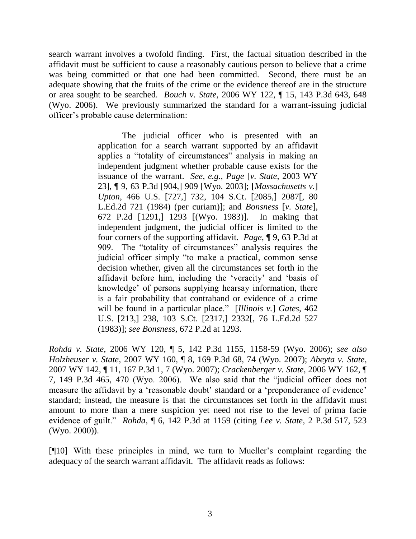search warrant involves a twofold finding. First, the factual situation described in the affidavit must be sufficient to cause a reasonably cautious person to believe that a crime was being committed or that one had been committed. Second, there must be an adequate showing that the fruits of the crime or the evidence thereof are in the structure or area sought to be searched. *Bouch v. State*, 2006 WY 122, ¶ 15, 143 P.3d 643, 648 (Wyo. 2006). We previously summarized the standard for a warrant-issuing judicial officer"s probable cause determination:

> The judicial officer who is presented with an application for a search warrant supported by an affidavit applies a "totality of circumstances" analysis in making an independent judgment whether probable cause exists for the issuance of the warrant. *See, e.g., Page* [*v. State*, 2003 WY 23], ¶ 9, 63 P.3d [904,] 909 [Wyo. 2003]; [*Massachusetts v.*] *Upton*, 466 U.S. [727,] 732, 104 S.Ct. [2085,] 2087[, 80 L.Ed.2d 721 (1984) (per curiam)]; and *Bonsness* [*v. State*], 672 P.2d [1291,] 1293 [(Wyo. 1983)]. In making that independent judgment, the judicial officer is limited to the four corners of the supporting affidavit. *Page*, ¶ 9, 63 P.3d at 909. The "totality of circumstances" analysis requires the judicial officer simply "to make a practical, common sense decision whether, given all the circumstances set forth in the affidavit before him, including the "veracity" and "basis of knowledge" of persons supplying hearsay information, there is a fair probability that contraband or evidence of a crime will be found in a particular place." [*Illinois v.*] *Gates*, 462 U.S. [213,] 238, 103 S.Ct. [2317,] 2332[, 76 L.Ed.2d 527 (1983)]; *see Bonsness*, 672 P.2d at 1293.

*Rohda v. State*, 2006 WY 120, ¶ 5, 142 P.3d 1155, 1158-59 (Wyo. 2006); *see also Holzheuser v. State*, 2007 WY 160, ¶ 8, 169 P.3d 68, 74 (Wyo. 2007); *Abeyta v. State*, 2007 WY 142, ¶ 11, 167 P.3d 1, 7 (Wyo. 2007); *Crackenberger v. State*, 2006 WY 162, ¶ 7, 149 P.3d 465, 470 (Wyo. 2006). We also said that the "judicial officer does not measure the affidavit by a 'reasonable doubt' standard or a 'preponderance of evidence' standard; instead, the measure is that the circumstances set forth in the affidavit must amount to more than a mere suspicion yet need not rise to the level of prima facie evidence of guilt." *Rohda*, ¶ 6, 142 P.3d at 1159 (citing *Lee v. State*, 2 P.3d 517, 523 (Wyo. 2000)).

[¶10] With these principles in mind, we turn to Mueller"s complaint regarding the adequacy of the search warrant affidavit. The affidavit reads as follows: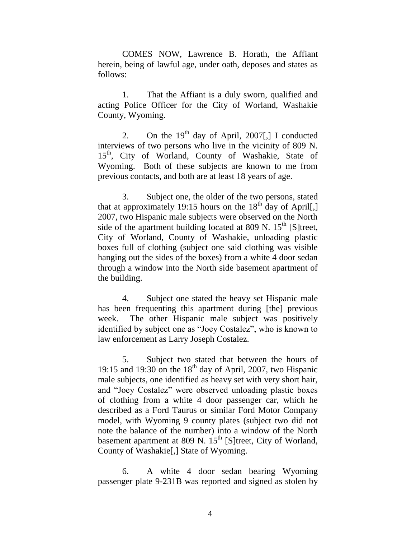COMES NOW, Lawrence B. Horath, the Affiant herein, being of lawful age, under oath, deposes and states as follows:

1. That the Affiant is a duly sworn, qualified and acting Police Officer for the City of Worland, Washakie County, Wyoming.

2. On the  $19<sup>th</sup>$  day of April, 2007[,] I conducted interviews of two persons who live in the vicinity of 809 N. 15<sup>th</sup>, City of Worland, County of Washakie, State of Wyoming. Both of these subjects are known to me from previous contacts, and both are at least 18 years of age.

3. Subject one, the older of the two persons, stated that at approximately 19:15 hours on the  $18<sup>th</sup>$  day of April[,] 2007, two Hispanic male subjects were observed on the North side of the apartment building located at 809 N.  $15<sup>th</sup>$  [S]treet, City of Worland, County of Washakie, unloading plastic boxes full of clothing (subject one said clothing was visible hanging out the sides of the boxes) from a white 4 door sedan through a window into the North side basement apartment of the building.

4. Subject one stated the heavy set Hispanic male has been frequenting this apartment during [the] previous week. The other Hispanic male subject was positively identified by subject one as "Joey Costalez", who is known to law enforcement as Larry Joseph Costalez.

5. Subject two stated that between the hours of 19:15 and 19:30 on the  $18<sup>th</sup>$  day of April, 2007, two Hispanic male subjects, one identified as heavy set with very short hair, and "Joey Costalez" were observed unloading plastic boxes of clothing from a white 4 door passenger car, which he described as a Ford Taurus or similar Ford Motor Company model, with Wyoming 9 county plates (subject two did not note the balance of the number) into a window of the North basement apartment at 809 N.  $15<sup>th</sup>$  [S]treet, City of Worland, County of Washakie[,] State of Wyoming.

6. A white 4 door sedan bearing Wyoming passenger plate 9-231B was reported and signed as stolen by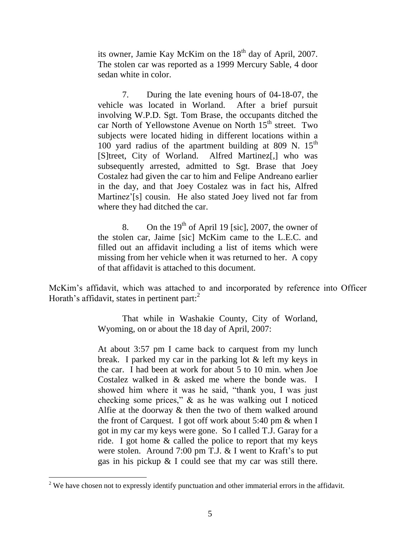its owner, Jamie Kay McKim on the  $18<sup>th</sup>$  day of April, 2007. The stolen car was reported as a 1999 Mercury Sable, 4 door sedan white in color.

7. During the late evening hours of 04-18-07, the vehicle was located in Worland. After a brief pursuit involving W.P.D. Sgt. Tom Brase, the occupants ditched the car North of Yellowstone Avenue on North 15<sup>th</sup> street. Two subjects were located hiding in different locations within a 100 yard radius of the apartment building at 809 N.  $15<sup>th</sup>$ [S]treet, City of Worland. Alfred Martinez[,] who was subsequently arrested, admitted to Sgt. Brase that Joey Costalez had given the car to him and Felipe Andreano earlier in the day, and that Joey Costalez was in fact his, Alfred Martinez'[s] cousin. He also stated Joey lived not far from where they had ditched the car.

8. On the  $19<sup>th</sup>$  of April 19 [sic], 2007, the owner of the stolen car, Jaime [sic] McKim came to the L.E.C. and filled out an affidavit including a list of items which were missing from her vehicle when it was returned to her. A copy of that affidavit is attached to this document.

McKim"s affidavit, which was attached to and incorporated by reference into Officer Horath's affidavit, states in pertinent part: $2$ 

> That while in Washakie County, City of Worland, Wyoming, on or about the 18 day of April, 2007:

> At about 3:57 pm I came back to carquest from my lunch break. I parked my car in the parking lot & left my keys in the car. I had been at work for about 5 to 10 min. when Joe Costalez walked in & asked me where the bonde was. I showed him where it was he said, "thank you, I was just checking some prices," & as he was walking out I noticed Alfie at the doorway & then the two of them walked around the front of Carquest. I got off work about 5:40 pm & when I got in my car my keys were gone. So I called T.J. Garay for a ride. I got home & called the police to report that my keys were stolen. Around 7:00 pm T.J.  $&$  I went to Kraft's to put gas in his pickup & I could see that my car was still there.

 $2$  We have chosen not to expressly identify punctuation and other immaterial errors in the affidavit.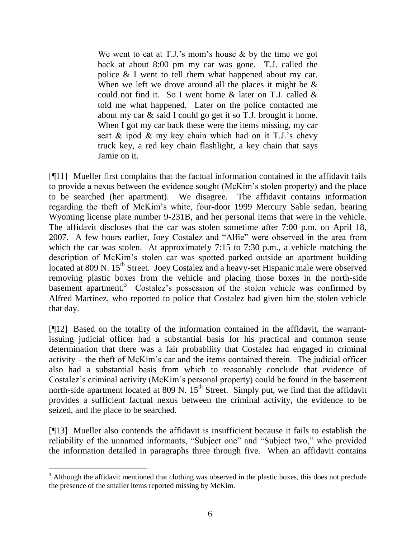We went to eat at T.J.'s mom's house  $\&$  by the time we got back at about 8:00 pm my car was gone. T.J. called the police & I went to tell them what happened about my car. When we left we drove around all the places it might be  $\&$ could not find it. So I went home  $\&$  later on T.J. called  $\&$ told me what happened. Later on the police contacted me about my car & said I could go get it so T.J. brought it home. When I got my car back these were the items missing, my car seat  $\&$  ipod  $\&$  my key chain which had on it T.J.'s chevy truck key, a red key chain flashlight, a key chain that says Jamie on it.

[¶11] Mueller first complains that the factual information contained in the affidavit fails to provide a nexus between the evidence sought (McKim"s stolen property) and the place to be searched (her apartment). We disagree. The affidavit contains information regarding the theft of McKim"s white, four-door 1999 Mercury Sable sedan, bearing Wyoming license plate number 9-231B, and her personal items that were in the vehicle. The affidavit discloses that the car was stolen sometime after 7:00 p.m. on April 18, 2007. A few hours earlier, Joey Costalez and "Alfie" were observed in the area from which the car was stolen. At approximately 7:15 to 7:30 p.m., a vehicle matching the description of McKim"s stolen car was spotted parked outside an apartment building located at 809 N. 15<sup>th</sup> Street. Joey Costalez and a heavy-set Hispanic male were observed removing plastic boxes from the vehicle and placing those boxes in the north-side basement apartment.<sup>3</sup> Costalez's possession of the stolen vehicle was confirmed by Alfred Martinez, who reported to police that Costalez had given him the stolen vehicle that day.

[¶12] Based on the totality of the information contained in the affidavit, the warrantissuing judicial officer had a substantial basis for his practical and common sense determination that there was a fair probability that Costalez had engaged in criminal activity – the theft of McKim"s car and the items contained therein. The judicial officer also had a substantial basis from which to reasonably conclude that evidence of Costalez"s criminal activity (McKim"s personal property) could be found in the basement north-side apartment located at 809 N. 15<sup>th</sup> Street. Simply put, we find that the affidavit provides a sufficient factual nexus between the criminal activity, the evidence to be seized, and the place to be searched.

[¶13] Mueller also contends the affidavit is insufficient because it fails to establish the reliability of the unnamed informants, "Subject one" and "Subject two," who provided the information detailed in paragraphs three through five. When an affidavit contains

l

<sup>&</sup>lt;sup>3</sup> Although the affidavit mentioned that clothing was observed in the plastic boxes, this does not preclude the presence of the smaller items reported missing by McKim.